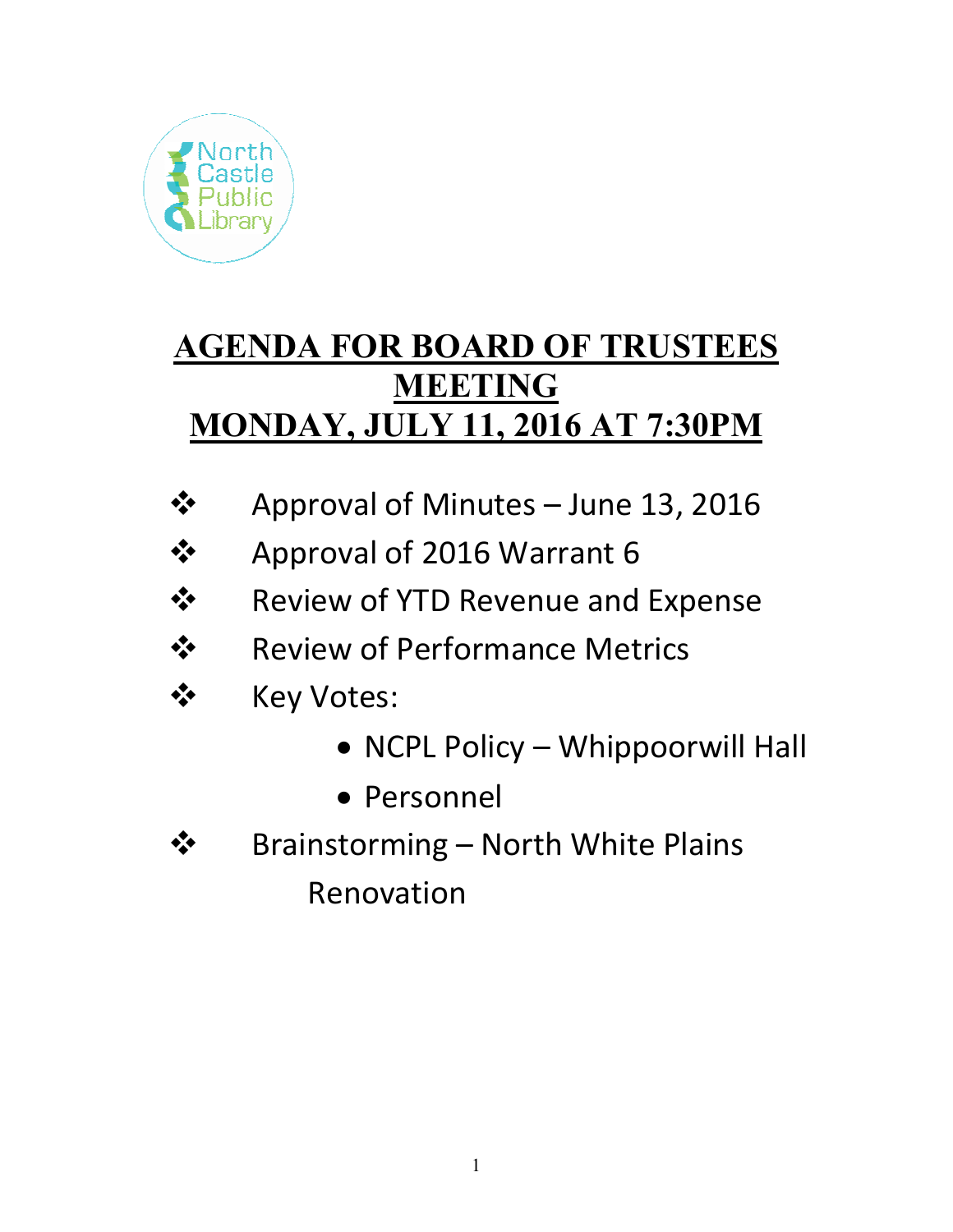

# **AGENDA FOR BOARD OF TRUSTEES MEETING MONDAY, JULY 11, 2016 AT 7:30PM**

- **❖** Approval of Minutes June 13, 2016
- Approval of 2016 Warrant 6
- Review of YTD Revenue and Expense
- $\div$  Review of Performance Metrics
- ❖ Key Votes:
	- NCPL Policy Whippoorwill Hall
	- Personnel
- **❖** Brainstorming North White Plains Renovation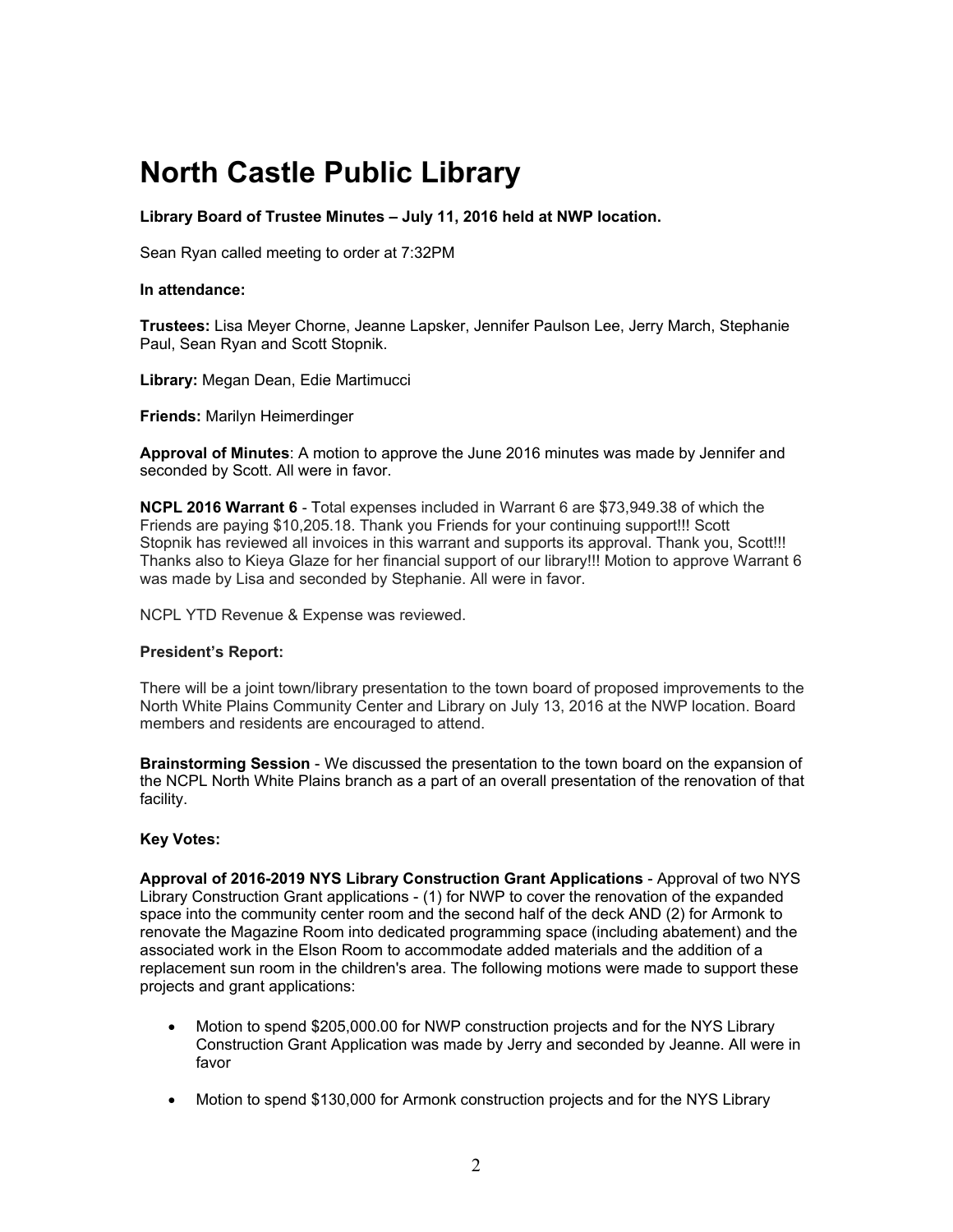## **North Castle Public Library**

**Library Board of Trustee Minutes – July 11, 2016 held at NWP location.** 

Sean Ryan called meeting to order at 7:32PM

#### **In attendance:**

**Trustees:** Lisa Meyer Chorne, Jeanne Lapsker, Jennifer Paulson Lee, Jerry March, Stephanie Paul, Sean Ryan and Scott Stopnik.

**Library:** Megan Dean, Edie Martimucci

**Friends:** Marilyn Heimerdinger

**Approval of Minutes**: A motion to approve the June 2016 minutes was made by Jennifer and seconded by Scott. All were in favor.

**NCPL 2016 Warrant 6** - Total expenses included in Warrant 6 are \$73,949.38 of which the Friends are paying \$10,205.18. Thank you Friends for your continuing support!!! Scott Stopnik has reviewed all invoices in this warrant and supports its approval. Thank you, Scott!!! Thanks also to Kieya Glaze for her financial support of our library!!! Motion to approve Warrant 6 was made by Lisa and seconded by Stephanie. All were in favor.

NCPL YTD Revenue & Expense was reviewed.

#### **President's Report:**

There will be a joint town/library presentation to the town board of proposed improvements to the North White Plains Community Center and Library on July 13, 2016 at the NWP location. Board members and residents are encouraged to attend.

**Brainstorming Session** - We discussed the presentation to the town board on the expansion of the NCPL North White Plains branch as a part of an overall presentation of the renovation of that facility.

### **Key Votes:**

**Approval of 2016-2019 NYS Library Construction Grant Applications** - Approval of two NYS Library Construction Grant applications - (1) for NWP to cover the renovation of the expanded space into the community center room and the second half of the deck AND (2) for Armonk to renovate the Magazine Room into dedicated programming space (including abatement) and the associated work in the Elson Room to accommodate added materials and the addition of a replacement sun room in the children's area. The following motions were made to support these projects and grant applications:

- Motion to spend \$205,000.00 for NWP construction projects and for the NYS Library Construction Grant Application was made by Jerry and seconded by Jeanne. All were in favor
- Motion to spend \$130,000 for Armonk construction projects and for the NYS Library